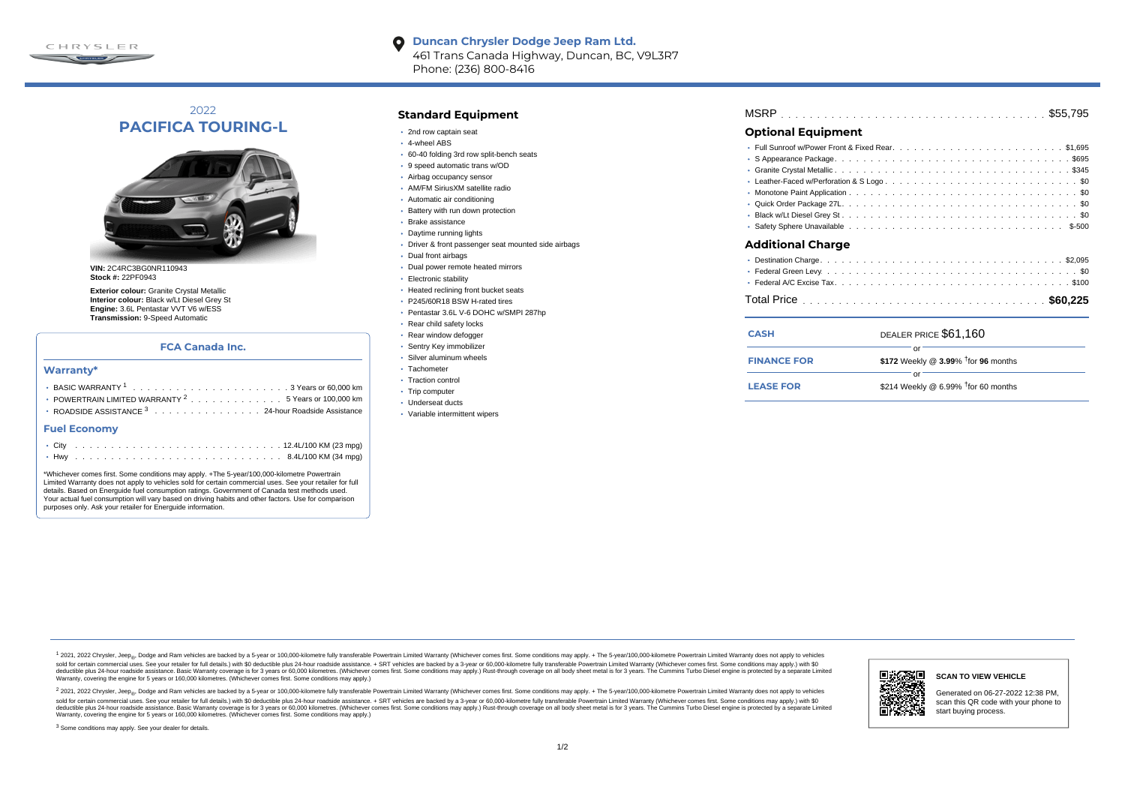

#### **Duncan Chrysler Dodge Jeep Ram Ltd.**  $\bullet$ 461 Trans Canada Highway, Duncan, BC, V9L3R7 Phone: (236) 800-8416

# 2022 **PACIFICA TOURING-L**



**VIN:** 2C4RC3BG0NR110943 **Stock #:** 22PF0943

**Exterior colour:** Granite Crystal Metallic **Interior colour:** Black w/Lt Diesel Grey St **Engine:** 3.6L Pentastar VVT V6 w/ESS **Transmission:** 9-Speed Automatic

#### **FCA Canada Inc.**

#### **Warranty\***

| • POWERTRAIN LIMITED WARRANTY <sup>2</sup> 5 Years or 100,000 km |
|------------------------------------------------------------------|
| ROADSIDE ASSISTANCE <sup>3</sup> 24-hour Roadside Assistance     |
| <b>Fuel Economy</b>                                              |
| $10.41$ $(100$ $(211)$<br>$\sim$ $\sim$ $\sim$                   |

|  |  |  |  |  |  |  |  |  |  |  |  |  |  |  | ・Hwy ...................................8.4L/100 KM (34 mpg) |
|--|--|--|--|--|--|--|--|--|--|--|--|--|--|--|--------------------------------------------------------------|

\*Whichever comes first. Some conditions may apply. +The 5-year/100,000-kilometre Powertrain Limited Warranty does not apply to vehicles sold for certain commercial uses. See your retailer for full details. Based on Energuide fuel consumption ratings. Government of Canada test methods used. Your actual fuel consumption will vary based on driving habits and other factors. Use for comparison purposes only. Ask your retailer for Energuide information.

### **Standard Equipment**

- 2nd row captain seat
- 4-wheel ABS
- 60-40 folding 3rd row split-bench seats
- 9 speed automatic trans w/OD
- Airbag occupancy sensor
- AM/FM SiriusXM satellite radio
- Automatic air conditioning
- Battery with run down protection
- Brake assistance
- Daytime running lights
- Driver & front passenger seat mounted side airbags
- Dual front airbags
- Dual power remote heated mirrors
- Electronic stability
- Heated reclining front bucket seats
- P245/60R18 BSW H-rated tires
- Pentastar 3.6L V-6 DOHC w/SMPI 287hp
- Rear child safety locks
- Rear window defogger
- Sentry Key immobilizer
- Silver aluminum wheels
- · Tachometer
- Traction control
- Trip computer
- Underseat ducts
- Variable intermittent wipers

| <b>MSRP</b> |  |  |  |  |  |  |  |  |  |  |  |  |  |  |  |  |  |  |  |  |  |  |  |  |  |  |  |  |  |  |  |  |  |  |  |  |  |  |  |
|-------------|--|--|--|--|--|--|--|--|--|--|--|--|--|--|--|--|--|--|--|--|--|--|--|--|--|--|--|--|--|--|--|--|--|--|--|--|--|--|--|
|-------------|--|--|--|--|--|--|--|--|--|--|--|--|--|--|--|--|--|--|--|--|--|--|--|--|--|--|--|--|--|--|--|--|--|--|--|--|--|--|--|

## **Optional Equipment**

| Additional Charge |
|-------------------|
|                   |
|                   |
|                   |

| <b>CASH</b>        | DEALER PRICE \$61,160                              |
|--------------------|----------------------------------------------------|
| <b>FINANCE FOR</b> | \$172 Weekly @ $3.99\%$ <sup>†</sup> for 96 months |
| <b>LEASE FOR</b>   | റ്റ്<br>\$214 Weekly @ 6.99% $†$ for 60 months     |

1 2021, 2022 Chrysler, Jeep.... Dodge and Ram vehicles are backed by a 5-year or 100,000-kilometre fully transferable Powertrain Limited Warranty (Whichever comes first. Some conditions may apply. + The 5-year/100,000-kilo sold for certain commercial uses. See your retailer for full details) with \$0 deductible plus 24-hour madside assistance. + SRT vehicles are backed by a 3-year or 60.000-kilometre fully transferable Powertrain Limited Warr detuctible plus 24-hour roadside assistance. Basic Warranty coverage is for 3 years or 60,000 kilometres. Whichever comes first. Some conditions may apply.) Rust-through coverage on all body sheet metals for 3 years. The C Warranty, covering the engine for 5 years or 160,000 kilometres. (Whichever comes first. Some conditions may apply.)





#### **SCAN TO VIEW VEHICLE**

Generated on 06-27-2022 12:38 PM, scan this QR code with your phone to start buying process.

<sup>3</sup> Some conditions may apply. See your dealer for details.